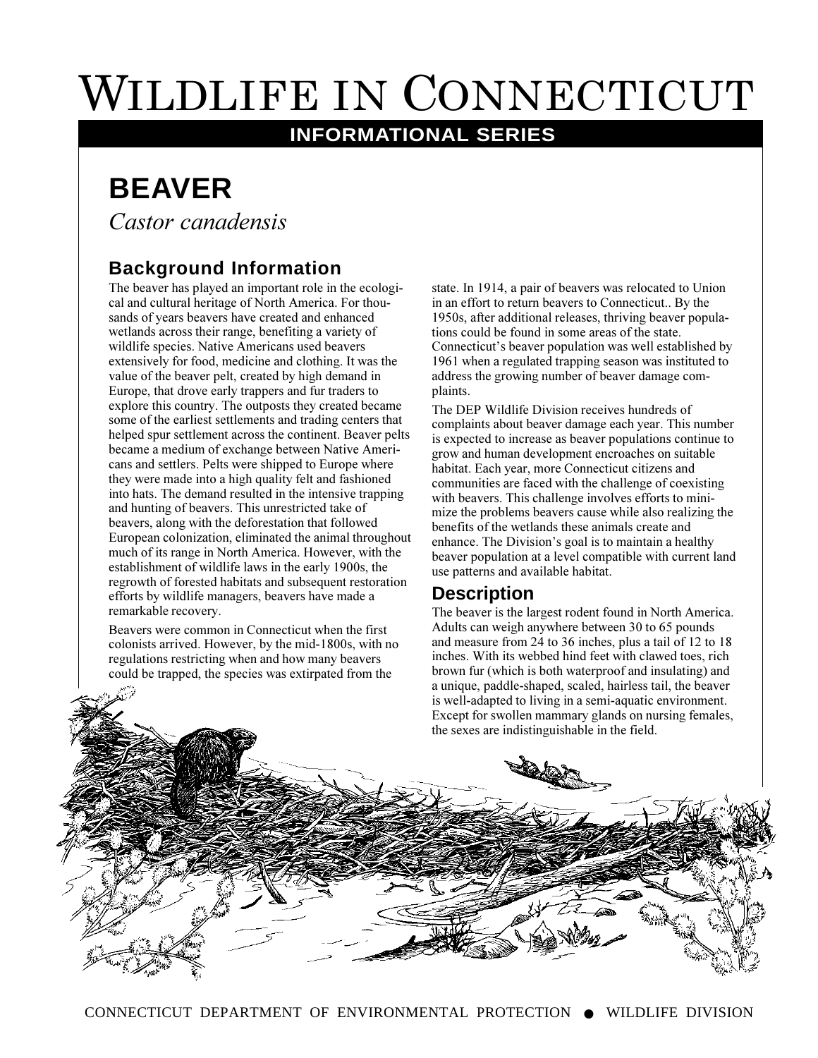# WILDLIFE IN CONNECTICUT

# **INFORMATIONAL SERIES**

# **BEAVER**

*Castor canadensis*

# **Background Information**

The beaver has played an important role in the ecological and cultural heritage of North America. For thousands of years beavers have created and enhanced wetlands across their range, benefiting a variety of wildlife species. Native Americans used beavers extensively for food, medicine and clothing. It was the value of the beaver pelt, created by high demand in Europe, that drove early trappers and fur traders to explore this country. The outposts they created became some of the earliest settlements and trading centers that helped spur settlement across the continent. Beaver pelts became a medium of exchange between Native Americans and settlers. Pelts were shipped to Europe where they were made into a high quality felt and fashioned into hats. The demand resulted in the intensive trapping and hunting of beavers. This unrestricted take of beavers, along with the deforestation that followed European colonization, eliminated the animal throughout much of its range in North America. However, with the establishment of wildlife laws in the early 1900s, the regrowth of forested habitats and subsequent restoration efforts by wildlife managers, beavers have made a remarkable recovery.

Beavers were common in Connecticut when the first colonists arrived. However, by the mid-1800s, with no regulations restricting when and how many beavers could be trapped, the species was extirpated from the

state. In 1914, a pair of beavers was relocated to Union in an effort to return beavers to Connecticut.. By the 1950s, after additional releases, thriving beaver populations could be found in some areas of the state. Connecticut's beaver population was well established by 1961 when a regulated trapping season was instituted to address the growing number of beaver damage complaints.

The DEP Wildlife Division receives hundreds of complaints about beaver damage each year. This number is expected to increase as beaver populations continue to grow and human development encroaches on suitable habitat. Each year, more Connecticut citizens and communities are faced with the challenge of coexisting with beavers. This challenge involves efforts to minimize the problems beavers cause while also realizing the benefits of the wetlands these animals create and enhance. The Division's goal is to maintain a healthy beaver population at a level compatible with current land use patterns and available habitat.

#### **Description**

The beaver is the largest rodent found in North America. Adults can weigh anywhere between 30 to 65 pounds and measure from 24 to 36 inches, plus a tail of 12 to 18 inches. With its webbed hind feet with clawed toes, rich brown fur (which is both waterproof and insulating) and a unique, paddle-shaped, scaled, hairless tail, the beaver is well-adapted to living in a semi-aquatic environment. Except for swollen mammary glands on nursing females, the sexes are indistinguishable in the field.

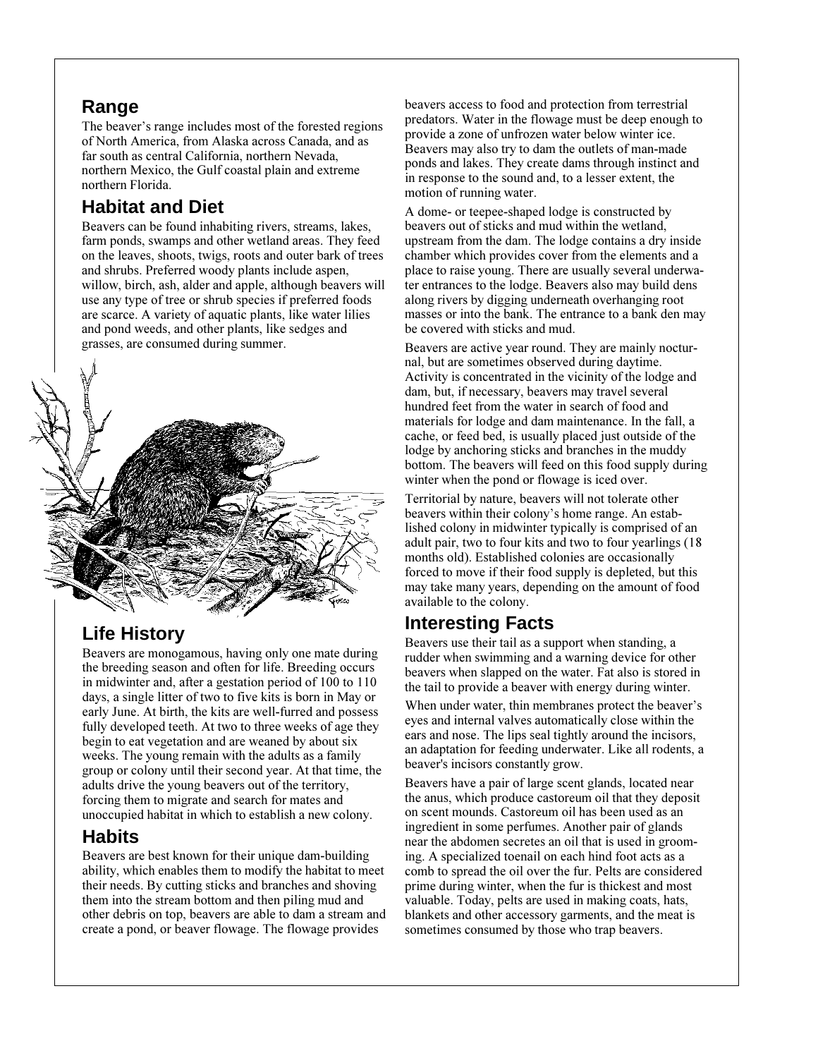#### **Range**

The beaver's range includes most of the forested regions of North America, from Alaska across Canada, and as far south as central California, northern Nevada, northern Mexico, the Gulf coastal plain and extreme northern Florida.

# **Habitat and Diet**

Beavers can be found inhabiting rivers, streams, lakes, farm ponds, swamps and other wetland areas. They feed on the leaves, shoots, twigs, roots and outer bark of trees and shrubs. Preferred woody plants include aspen, willow, birch, ash, alder and apple, although beavers will use any type of tree or shrub species if preferred foods are scarce. A variety of aquatic plants, like water lilies and pond weeds, and other plants, like sedges and grasses, are consumed during summer.



# **Life History**

Beavers are monogamous, having only one mate during the breeding season and often for life. Breeding occurs in midwinter and, after a gestation period of 100 to 110 days, a single litter of two to five kits is born in May or early June. At birth, the kits are well-furred and possess fully developed teeth. At two to three weeks of age they begin to eat vegetation and are weaned by about six weeks. The young remain with the adults as a family group or colony until their second year. At that time, the adults drive the young beavers out of the territory, forcing them to migrate and search for mates and unoccupied habitat in which to establish a new colony.

#### **Habits**

Beavers are best known for their unique dam-building ability, which enables them to modify the habitat to meet their needs. By cutting sticks and branches and shoving them into the stream bottom and then piling mud and other debris on top, beavers are able to dam a stream and create a pond, or beaver flowage. The flowage provides

beavers access to food and protection from terrestrial predators. Water in the flowage must be deep enough to provide a zone of unfrozen water below winter ice. Beavers may also try to dam the outlets of man-made ponds and lakes. They create dams through instinct and in response to the sound and, to a lesser extent, the motion of running water.

A dome- or teepee-shaped lodge is constructed by beavers out of sticks and mud within the wetland, upstream from the dam. The lodge contains a dry inside chamber which provides cover from the elements and a place to raise young. There are usually several underwater entrances to the lodge. Beavers also may build dens along rivers by digging underneath overhanging root masses or into the bank. The entrance to a bank den may be covered with sticks and mud.

Beavers are active year round. They are mainly nocturnal, but are sometimes observed during daytime. Activity is concentrated in the vicinity of the lodge and dam, but, if necessary, beavers may travel several hundred feet from the water in search of food and materials for lodge and dam maintenance. In the fall, a cache, or feed bed, is usually placed just outside of the lodge by anchoring sticks and branches in the muddy bottom. The beavers will feed on this food supply during winter when the pond or flowage is iced over.

Territorial by nature, beavers will not tolerate other beavers within their colony's home range. An established colony in midwinter typically is comprised of an adult pair, two to four kits and two to four yearlings (18 months old). Established colonies are occasionally forced to move if their food supply is depleted, but this may take many years, depending on the amount of food available to the colony.

# **Interesting Facts**

Beavers use their tail as a support when standing, a rudder when swimming and a warning device for other beavers when slapped on the water. Fat also is stored in the tail to provide a beaver with energy during winter.

When under water, thin membranes protect the beaver's eyes and internal valves automatically close within the ears and nose. The lips seal tightly around the incisors, an adaptation for feeding underwater. Like all rodents, a beaver's incisors constantly grow.

Beavers have a pair of large scent glands, located near the anus, which produce castoreum oil that they deposit on scent mounds. Castoreum oil has been used as an ingredient in some perfumes. Another pair of glands near the abdomen secretes an oil that is used in grooming. A specialized toenail on each hind foot acts as a comb to spread the oil over the fur. Pelts are considered prime during winter, when the fur is thickest and most valuable. Today, pelts are used in making coats, hats, blankets and other accessory garments, and the meat is sometimes consumed by those who trap beavers.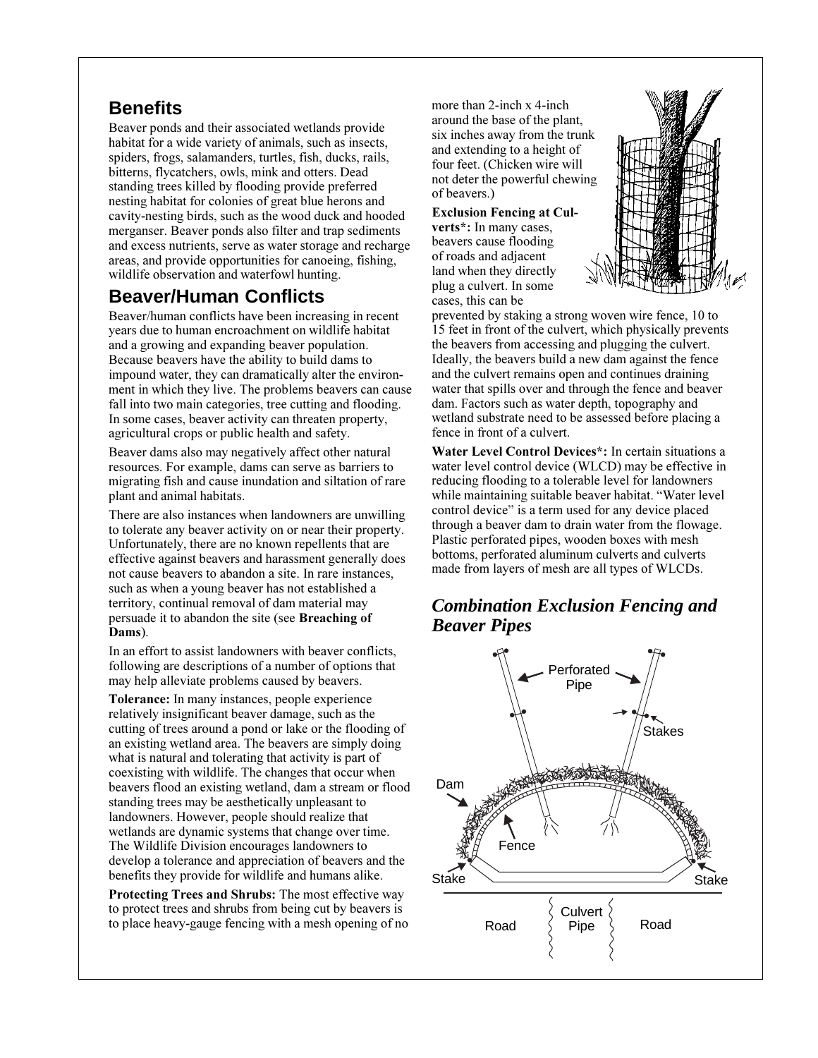#### **Benefits**

Beaver ponds and their associated wetlands provide habitat for a wide variety of animals, such as insects, spiders, frogs, salamanders, turtles, fish, ducks, rails, bitterns, flycatchers, owls, mink and otters. Dead standing trees killed by flooding provide preferred nesting habitat for colonies of great blue herons and cavity-nesting birds, such as the wood duck and hooded merganser. Beaver ponds also filter and trap sediments and excess nutrients, serve as water storage and recharge areas, and provide opportunities for canoeing, fishing, wildlife observation and waterfowl hunting.

# **Beaver/Human Conflicts**

Beaver/human conflicts have been increasing in recent years due to human encroachment on wildlife habitat and a growing and expanding beaver population. Because beavers have the ability to build dams to impound water, they can dramatically alter the environment in which they live. The problems beavers can cause fall into two main categories, tree cutting and flooding. In some cases, beaver activity can threaten property, agricultural crops or public health and safety.

Beaver dams also may negatively affect other natural resources. For example, dams can serve as barriers to migrating fish and cause inundation and siltation of rare plant and animal habitats.

There are also instances when landowners are unwilling to tolerate any beaver activity on or near their property. Unfortunately, there are no known repellents that are effective against beavers and harassment generally does not cause beavers to abandon a site. In rare instances, such as when a young beaver has not established a territory, continual removal of dam material may persuade it to abandon the site (see **Breaching of Dams**).

In an effort to assist landowners with beaver conflicts, following are descriptions of a number of options that may help alleviate problems caused by beavers.

**Tolerance:** In many instances, people experience relatively insignificant beaver damage, such as the cutting of trees around a pond or lake or the flooding of an existing wetland area. The beavers are simply doing what is natural and tolerating that activity is part of coexisting with wildlife. The changes that occur when beavers flood an existing wetland, dam a stream or flood standing trees may be aesthetically unpleasant to landowners. However, people should realize that wetlands are dynamic systems that change over time. The Wildlife Division encourages landowners to develop a tolerance and appreciation of beavers and the benefits they provide for wildlife and humans alike.

**Protecting Trees and Shrubs:** The most effective way to protect trees and shrubs from being cut by beavers is to place heavy-gauge fencing with a mesh opening of no more than 2-inch x 4-inch around the base of the plant, six inches away from the trunk and extending to a height of four feet. (Chicken wire will not deter the powerful chewing of beavers.)

#### **Exclusion Fencing at Cul-**

**verts\*:** In many cases, beavers cause flooding of roads and adjacent land when they directly plug a culvert. In some cases, this can be



prevented by staking a strong woven wire fence, 10 to 15 feet in front of the culvert, which physically prevents the beavers from accessing and plugging the culvert. Ideally, the beavers build a new dam against the fence and the culvert remains open and continues draining water that spills over and through the fence and beaver dam. Factors such as water depth, topography and wetland substrate need to be assessed before placing a fence in front of a culvert.

**Water Level Control Devices\*:** In certain situations a water level control device (WLCD) may be effective in reducing flooding to a tolerable level for landowners while maintaining suitable beaver habitat. "Water level control device" is a term used for any device placed through a beaver dam to drain water from the flowage. Plastic perforated pipes, wooden boxes with mesh bottoms, perforated aluminum culverts and culverts made from layers of mesh are all types of WLCDs.

#### *Combination Exclusion Fencing and Beaver Pipes*